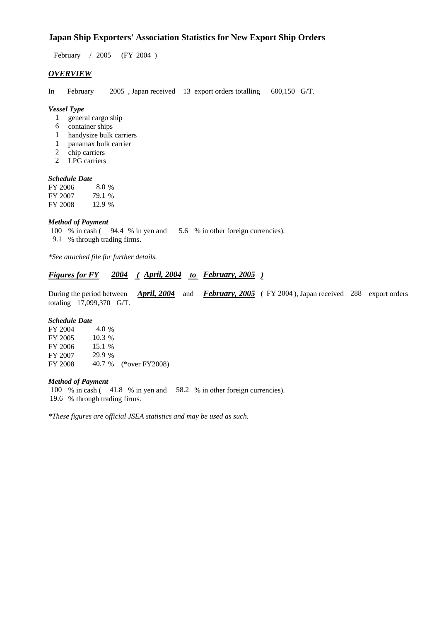### **Japan Ship Exporters' Association Statistics for New Export Ship Orders**

February / 2005 (FY 2004 )

#### *OVERVIEW*

In February 2005 , Japan received 13 export orders totalling 600,150 G/T.

#### *Vessel Type*

- 1 general cargo ship
- 6 container ships
- 1 handysize bulk carriers
- 1 panamax bulk carrier
- 2 chip carriers
- 2 LPG carriers

#### *Schedule Date*

| FY 2006 | $8.0\%$ |
|---------|---------|
| FY 2007 | 79.1 %  |
| FY 2008 | 12.9 %  |

#### *Method of Payment*

- 100 % in cash ( 94.4 % in yen and 5.6 % in other foreign currencies).
- 9.1 % through trading firms.

*\*See attached file for further details.*

#### *Figures for FY 2004 ( April, 2004 to February, 2005 )*

During the period between *April, 2004* and *February, 2005* ( FY 2004 ), Japan received 288 export orders totaling 17,099,370 G/T.

#### *Schedule Date*

| FY 2004 | 4.0 %    |                       |
|---------|----------|-----------------------|
| FY 2005 | $10.3\%$ |                       |
| FY 2006 | 15.1 %   |                       |
| FY 2007 | 29.9 %   |                       |
| FY 2008 |          | 40.7 % (*over FY2008) |
|         |          |                       |

#### *Method of Payment*

100 % in cash ( 41.8 % in yen and 58.2 % in other foreign currencies).

19.6 % through trading firms.

*\*These figures are official JSEA statistics and may be used as such.*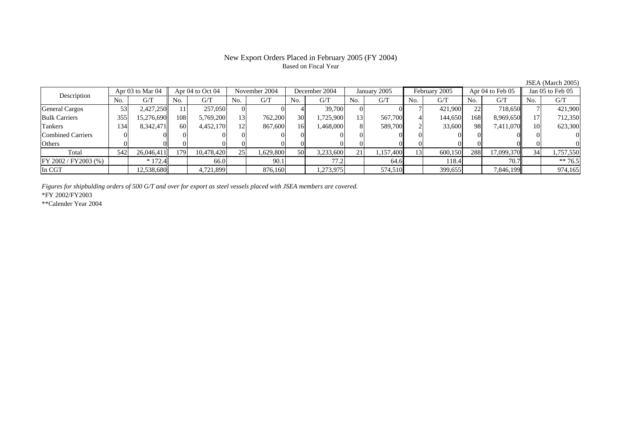# Based on Fiscal Year

Description Apr 03 to Mar 04 Apr 04 to Oct 04 November 2004 December 2004 January 2005 February 2005 Apr 04 to Feb 05 Jan 05 to Feb 05<br>No. 1 G/T No. 1 G/T No. 1 G/T No. 1 G/T No. 1 G/T No. 1 G/T No. 1 G/T No. 1 G/T No. 1 G  $No.$   $G/T$ T || No. | G/T || No. | G/T || No. | G/T || No. | G/T || G/T || No. | G/T || No. | G/T || No. | G/T General Cargos | 53| 2,427,250|| 11| 257,050| 0| 4| 39,700| 0| 0| 7| 421,900| 22| 718,650|| 7| 421,900 Bulk Carriers 3555| 15,276,690|| 108| 5,769,200| 13| 762,200| 30| 1,725,900| 13| 567,700| 4| 144,650| 168| 8,969,650|| 17| 712,350 Tankers 1344| 8,342,471|| 60| 4,452,170| 12| 867,600| 16| 1,468,000| 8| 589,700| 2| 33,600| 98| 7,411,070|| 10| 623,300 Combined Carriers 1 0 0 0 0 0 0 0 0 0 0 0 0 0 0 0 0 **Others** s and  $\vert 0$  0 0 0 0 0 0 0 0 0 0 0 0 0 0 0 Total 5422| 26,046,411|| 179| 10,478,420| 25| 1,629,800| 50| 3,233,600| 21| 1,157,400| 13| 600,150| 288| 17,099,370|| 34| 1,757,550 FY 2002 / FY2003 (%) \* 172.4 66.0 90.1 77.2 64.6 118.4 70.7 \* 70.7 In CGT12,538,680|| 4,721,899|| 876,160|| 1,273,975|| 574,510|| 399,655|| 7,846,199|| 974,165|

*Figures for shipbulding orders of 500 G/T and over for export as steel vessels placed with JSEA members are covered.*

\*FY 2002/FY2003

\*\*Calender Year 2004

JSEA (March 2005)

# New Export Orders Placed in February 2005 (FY 2004)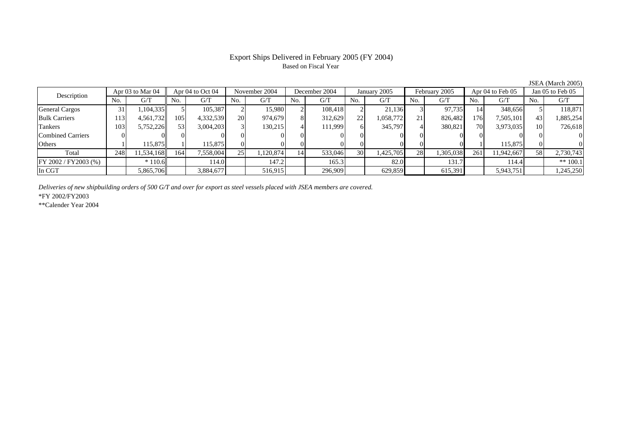# Based on Fiscal Year

Description Apr 03 to Mar 04 Apr 04 to Oct 04 November 2004 December 2004 January 2005 February 2005 Apr 04 to Feb 05 Jan 05 to Feb 05<br>No. 1 G/T No. 1 G/T No. 1 G/T No. 1 G/T No. 1 G/T No. 1 G/T No. 1 G/T No. 1 G/T No. 1 G No.  $G/T$ T || No. | G/T || No. | G/T || No. | G/T || No. | G/T || G/T || No. | G/T || No. | G/T || No. | G/T General Cargos ( 31 1,104,335 5 105,387 2 15,980 2 108,418 2 21,136 3 97,735 14 348,656 5 118,871 Bulk Carriers 113 4,561,732 105 4,332,539 20 974,679 8 312,629 22 1,058,772 21 826,482 176 7,505,101 43 1,885,254 Tankers 1033| 5,752,226|| 53| 3,004,203| 3| 130,215| 4| 111,999| 6| 345,797| 4| 380,821| 70| 3,973,035|| 10| 726,618 Combined Carriers 0 0 0 0 0 0 0 0 0 0 0 0 0 0 0 0 **Others** s and  $1$  115,875 1 115,875 0 0 0 0 0 0 0 0 1 115,875 0 0 Total 2488| 11,534,168|| 164| 7,558,004| 25| 1,120,874| 14| 533,046| 30| 1,425,705| 28| 1,305,038| 261| 11,942,667|| 58| 2,730,743 FY 2002 / FY2003 (%) \* 110.6 114.0 144.0 147.2 165.3 82.0 131.7 114.4 \*\* 100.1 In CGT5,865,706 3,884,677 516,915 296,909 629,859 615,391 5,943,751 1,245,250

*Deliveries of new shipbuilding orders of 500 G/T and over for export as steel vessels placed with JSEA members are covered.*

\*FY 2002/FY2003

\*\*Calender Year 2004

JSEA (March 2005)

## Export Ships Delivered in February 2005 (FY 2004)